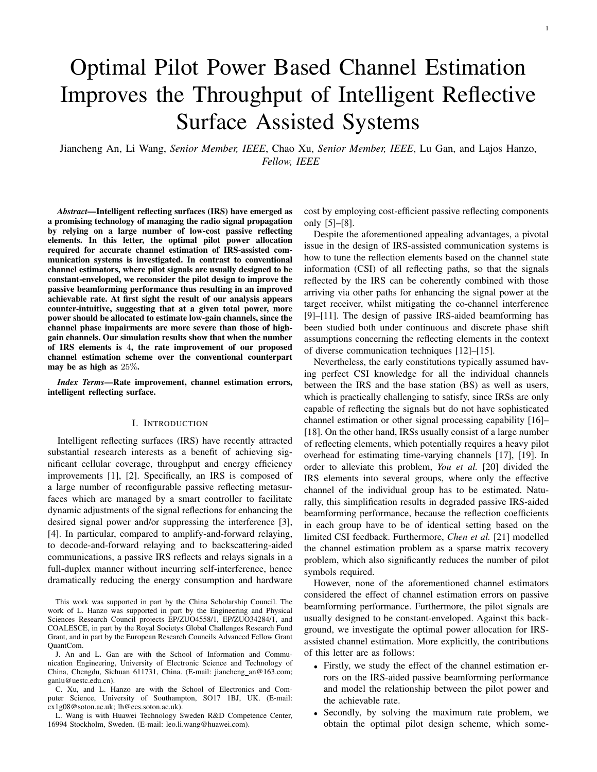# Optimal Pilot Power Based Channel Estimation Improves the Throughput of Intelligent Reflective Surface Assisted Systems

Jiancheng An, Li Wang, *Senior Member, IEEE*, Chao Xu, *Senior Member, IEEE*, Lu Gan, and Lajos Hanzo, *Fellow, IEEE*

*Abstract*—Intelligent reflecting surfaces (IRS) have emerged as a promising technology of managing the radio signal propagation by relying on a large number of low-cost passive reflecting elements. In this letter, the optimal pilot power allocation required for accurate channel estimation of IRS-assisted communication systems is investigated. In contrast to conventional channel estimators, where pilot signals are usually designed to be constant-enveloped, we reconsider the pilot design to improve the passive beamforming performance thus resulting in an improved achievable rate. At first sight the result of our analysis appears counter-intuitive, suggesting that at a given total power, more power should be allocated to estimate low-gain channels, since the channel phase impairments are more severe than those of highgain channels. Our simulation results show that when the number of IRS elements is 4, the rate improvement of our proposed channel estimation scheme over the conventional counterpart may be as high as 25%.

*Index Terms*—Rate improvement, channel estimation errors, intelligent reflecting surface.

# I. INTRODUCTION

Intelligent reflecting surfaces (IRS) have recently attracted substantial research interests as a benefit of achieving significant cellular coverage, throughput and energy efficiency improvements [1], [2]. Specifically, an IRS is composed of a large number of reconfigurable passive reflecting metasurfaces which are managed by a smart controller to facilitate dynamic adjustments of the signal reflections for enhancing the desired signal power and/or suppressing the interference [3], [4]. In particular, compared to amplify-and-forward relaying, to decode-and-forward relaying and to backscattering-aided communications, a passive IRS reflects and relays signals in a full-duplex manner without incurring self-interference, hence dramatically reducing the energy consumption and hardware

This work was supported in part by the China Scholarship Council. The work of L. Hanzo was supported in part by the Engineering and Physical Sciences Research Council projects EP/ZUO4558/1, EP/ZUO34284/1, and COALESCE, in part by the Royal Societys Global Challenges Research Fund Grant, and in part by the European Research Councils Advanced Fellow Grant QuantCom.

J. An and L. Gan are with the School of Information and Communication Engineering, University of Electronic Science and Technology of China, Chengdu, Sichuan 611731, China. (E-mail: jiancheng\_an@163.com; ganlu@uestc.edu.cn).

C. Xu, and L. Hanzo are with the School of Electronics and Computer Science, University of Southampton, SO17 1BJ, UK. (E-mail: cx1g08@soton.ac.uk; lh@ecs.soton.ac.uk).

L. Wang is with Huawei Technology Sweden R&D Competence Center, 16994 Stockholm, Sweden. (E-mail: leo.li.wang@huawei.com).

cost by employing cost-efficient passive reflecting components only [5]–[8].

Despite the aforementioned appealing advantages, a pivotal issue in the design of IRS-assisted communication systems is how to tune the reflection elements based on the channel state information (CSI) of all reflecting paths, so that the signals reflected by the IRS can be coherently combined with those arriving via other paths for enhancing the signal power at the target receiver, whilst mitigating the co-channel interference [9]–[11]. The design of passive IRS-aided beamforming has been studied both under continuous and discrete phase shift assumptions concerning the reflecting elements in the context of diverse communication techniques [12]–[15].

Nevertheless, the early constitutions typically assumed having perfect CSI knowledge for all the individual channels between the IRS and the base station (BS) as well as users, which is practically challenging to satisfy, since IRSs are only capable of reflecting the signals but do not have sophisticated channel estimation or other signal processing capability [16]– [18]. On the other hand, IRSs usually consist of a large number of reflecting elements, which potentially requires a heavy pilot overhead for estimating time-varying channels [17], [19]. In order to alleviate this problem, *You et al.* [20] divided the IRS elements into several groups, where only the effective channel of the individual group has to be estimated. Naturally, this simplification results in degraded passive IRS-aided beamforming performance, because the reflection coefficients in each group have to be of identical setting based on the limited CSI feedback. Furthermore, *Chen et al.* [21] modelled the channel estimation problem as a sparse matrix recovery problem, which also significantly reduces the number of pilot symbols required.

However, none of the aforementioned channel estimators considered the effect of channel estimation errors on passive beamforming performance. Furthermore, the pilot signals are usually designed to be constant-enveloped. Against this background, we investigate the optimal power allocation for IRSassisted channel estimation. More explicitly, the contributions of this letter are as follows:

- Firstly, we study the effect of the channel estimation errors on the IRS-aided passive beamforming performance and model the relationship between the pilot power and the achievable rate.
- Secondly, by solving the maximum rate problem, we obtain the optimal pilot design scheme, which some-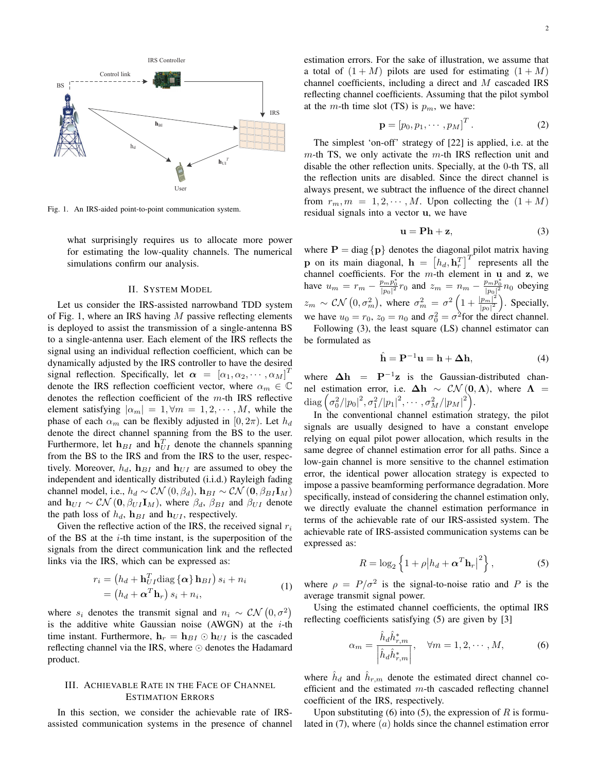

Fig. 1. An IRS-aided point-to-point communication system.

what surprisingly requires us to allocate more power for estimating the low-quality channels. The numerical simulations confirm our analysis.

## II. SYSTEM MODEL

Let us consider the IRS-assisted narrowband TDD system of Fig. 1, where an IRS having  $M$  passive reflecting elements is deployed to assist the transmission of a single-antenna BS to a single-antenna user. Each element of the IRS reflects the signal using an individual reflection coefficient, which can be dynamically adjusted by the IRS controller to have the desired signal reflection. Specifically, let  $\alpha = [\alpha_1, \alpha_2, \cdots, \alpha_M]^T$ denote the IRS reflection coefficient vector, where  $\alpha_m \in \mathbb{C}$ denotes the reflection coefficient of the  $m$ -th IRS reflective element satisfying  $|\alpha_m| = 1, \forall m = 1, 2, \cdots, M$ , while the phase of each  $\alpha_m$  can be flexibly adjusted in [0,  $2\pi$ ). Let  $h_d$ denote the direct channel spanning from the BS to the user. Furthermore, let  $\mathbf{h}_{BI}$  and  $\mathbf{h}_{UI}^T$  denote the channels spanning from the BS to the IRS and from the IRS to the user, respectively. Moreover,  $h_d$ ,  $\mathbf{h}_{BI}$  and  $\mathbf{h}_{UI}$  are assumed to obey the independent and identically distributed (i.i.d.) Rayleigh fading channel model, i.e.,  $h_d \sim \mathcal{CN}(0, \beta_d)$ ,  $\mathbf{h}_{BI} \sim \mathcal{CN}(\mathbf{0}, \beta_{BI} \mathbf{I}_M)$ and  $h_{UI} \sim \mathcal{CN} (0, \beta_{UI} I_M)$ , where  $\beta_d$ ,  $\beta_{BI}$  and  $\beta_{UI}$  denote the path loss of  $h_d$ ,  $\mathbf{h}_{BI}$  and  $\mathbf{h}_{UI}$ , respectively.

Given the reflective action of the IRS, the received signal  $r_i$ of the BS at the  $i$ -th time instant, is the superposition of the signals from the direct communication link and the reflected links via the IRS, which can be expressed as:

$$
r_i = (h_d + \mathbf{h}_{UI}^T \text{diag} \{ \alpha \} \mathbf{h}_{BI}) s_i + n_i
$$
  
=  $(h_d + \alpha^T \mathbf{h}_r) s_i + n_i,$  (1)

where  $s_i$  denotes the transmit signal and  $n_i \sim \mathcal{CN}(0, \sigma^2)$ is the additive white Gaussian noise (AWGN) at the  $i$ -th time instant. Furthermore,  $\mathbf{h}_r = \mathbf{h}_{BI} \odot \mathbf{h}_{UI}$  is the cascaded reflecting channel via the IRS, where  $\odot$  denotes the Hadamard product.

# III. ACHIEVABLE RATE IN THE FACE OF CHANNEL ESTIMATION ERRORS

In this section, we consider the achievable rate of IRSassisted communication systems in the presence of channel estimation errors. For the sake of illustration, we assume that a total of  $(1 + M)$  pilots are used for estimating  $(1 + M)$ channel coefficients, including a direct and M cascaded IRS reflecting channel coefficients. Assuming that the pilot symbol at the m-th time slot (TS) is  $p_m$ , we have:

$$
\mathbf{p} = [p_0, p_1, \cdots, p_M]^T. \tag{2}
$$

The simplest 'on-off' strategy of [22] is applied, i.e. at the  $m$ -th TS, we only activate the  $m$ -th IRS reflection unit and disable the other reflection units. Specially, at the 0-th TS, all the reflection units are disabled. Since the direct channel is always present, we subtract the influence of the direct channel from  $r_m$ ,  $m = 1, 2, \dots, M$ . Upon collecting the  $(1 + M)$ residual signals into a vector u, we have

$$
\mathbf{u} = \mathbf{P}\mathbf{h} + \mathbf{z},\tag{3}
$$

where  $P = diag\{p\}$  denotes the diagonal pilot matrix having **p** on its main diagonal,  $\mathbf{h} = \left[h_d, \mathbf{h}_r^T\right]^T$  represents all the channel coefficients. For the  $m$ -th element in u and z, we have  $u_m = r_m - \frac{p_m p_0^*}{|p_0|^2} r_0$  and  $z_m = n_m - \frac{p_m p_0^*}{|p_0|^2} n_0$  obeying  $z_m \sim \mathcal{CN}\left(0, \sigma_m^2\right)$ , where  $\sigma_m^2 = \sigma^2 \left(1 + \frac{|p_m|^2}{|p_0|^2}\right)$  $\frac{|p_m|^2}{|p_0|^2}$ ). Specially, we have  $u_0 = r_0$ ,  $z_0 = n_0$  and  $\sigma_0^2 = \sigma^2$  for the direct channel. Following (3), the least square (LS) channel estimator can

be formulated as

$$
\hat{\mathbf{h}} = \mathbf{P}^{-1} \mathbf{u} = \mathbf{h} + \Delta \mathbf{h},\tag{4}
$$

where  $\Delta h = P^{-1}z$  is the Gaussian-distributed channel estimation error, i.e.  $\Delta h \sim \mathcal{CN}(0,\Lambda)$ , where  $\Lambda =$  ${\rm diag}\left( \sigma_0^2/ |p_0|^2, \sigma_1^2/ |p_1|^2, \cdots, \sigma_M^2/ |p_M|^2 \right)$ .

In the conventional channel estimation strategy, the pilot signals are usually designed to have a constant envelope relying on equal pilot power allocation, which results in the same degree of channel estimation error for all paths. Since a low-gain channel is more sensitive to the channel estimation error, the identical power allocation strategy is expected to impose a passive beamforming performance degradation. More specifically, instead of considering the channel estimation only, we directly evaluate the channel estimation performance in terms of the achievable rate of our IRS-assisted system. The achievable rate of IRS-assisted communication systems can be expressed as:

$$
R = \log_2 \left\{ 1 + \rho \left| h_d + \boldsymbol{\alpha}^T \mathbf{h}_r \right|^2 \right\},\tag{5}
$$

where  $\rho = P/\sigma^2$  is the signal-to-noise ratio and P is the average transmit signal power.

Using the estimated channel coefficients, the optimal IRS reflecting coefficients satisfying (5) are given by [3]

$$
\alpha_m = \frac{\hat{h}_d \hat{h}_{r,m}^*}{\left|\hat{h}_d \hat{h}_{r,m}^*\right|}, \quad \forall m = 1, 2, \cdots, M,
$$
 (6)

where  $\hat{h}_d$  and  $\hat{h}_{r,m}$  denote the estimated direct channel coefficient and the estimated  $m$ -th cascaded reflecting channel coefficient of the IRS, respectively.

Upon substituting (6) into (5), the expression of  $R$  is formulated in  $(7)$ , where  $(a)$  holds since the channel estimation error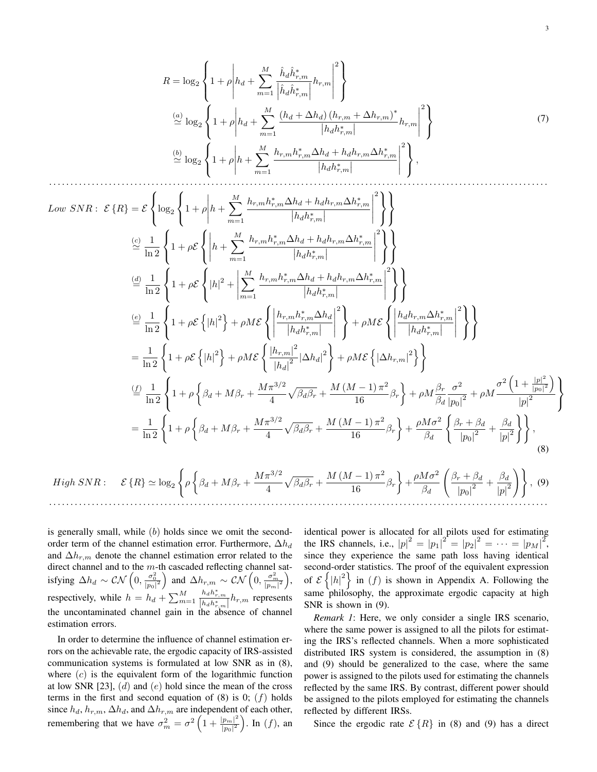$$
R = \log_2 \left\{ 1 + \rho \left| h_d + \sum_{m=1}^M \frac{\hat{h}_d \hat{h}_{r,m}^*}{\left| \hat{h}_d \hat{h}_{r,m}^* \right|} h_{r,m} \right|^2 \right\}
$$
  
\n
$$
\stackrel{(a)}{\simeq} \log_2 \left\{ 1 + \rho \left| h_d + \sum_{m=1}^M \frac{\left( h_d + \Delta h_d \right) \left( h_{r,m} + \Delta h_{r,m} \right)^*}{\left| h_d h_{r,m}^* \right|} h_{r,m} \right|^2 \right\}
$$
  
\n
$$
\stackrel{(b)}{\simeq} \log_2 \left\{ 1 + \rho \left| h + \sum_{m=1}^M \frac{h_{r,m} h_{r,m}^* \Delta h_d + h_d h_{r,m} \Delta h_{r,m}^*}{\left| h_d h_{r,m}^* \right|} \right|^2 \right\},
$$
  
\n(7)

$$
Low SNR: \mathcal{E} \{R\} = \mathcal{E} \left\{ \log_2 \left\{ 1 + \rho \left| h + \sum_{m=1}^{M} \frac{h_{r,m} h_{r,m}^* \Delta h_{d} + h_{d} h_{r,m} \Delta h_{r,m}^*}{|h_{d} h_{r,m}^*|} \right|^2 \right\} \right\}
$$
  
\n
$$
\stackrel{(2)}{=} \frac{1}{\ln 2} \left\{ 1 + \rho \mathcal{E} \left\{ \left| h + \sum_{m=1}^{M} \frac{h_{r,m} h_{r,m}^* \Delta h_{d} + h_{d} h_{r,m} \Delta h_{r,m}^*}{|h_{d} h_{r,m}^*|} \right|^2 \right\} \right\}
$$
  
\n
$$
\stackrel{(d)}{=} \frac{1}{\ln 2} \left\{ 1 + \rho \mathcal{E} \left\{ |h|^2 + \left| \sum_{m=1}^{M} \frac{h_{r,m} h_{r,m}^* \Delta h_{d} + h_{d} h_{r,m} \Delta h_{r,m}^*}{|h_{d} h_{r,m}^*|} \right|^2 \right\} + \rho ME \left\{ \left| \frac{h_{d} h_{r,m} \Delta h_{r,m}^*}{|h_{d} h_{r,m}^*|} \right|^2 \right\} \right\}
$$
  
\n
$$
= \frac{1}{\ln 2} \left\{ 1 + \rho \mathcal{E} \left\{ |h|^2 \right\} + \rho ME \left\{ \left| \frac{h_{r,m} h_{r,m}^* \Delta h_{d}}{|h_{d} h_{r,m}^*|} \right|^2 \right\} + \rho ME \left\{ |\Delta h_{r,m}|^2 \right\} \right\}
$$
  
\n
$$
\stackrel{(d)}{=} \frac{1}{\ln 2} \left\{ 1 + \rho \left\{ \beta_d + M \beta_r + \frac{M \pi^{3/2}}{4} \sqrt{\beta_d \beta_r} + \frac{M (M-1) \pi^2}{16} \beta_r \right\} + \rho M \frac{\beta_r}{\beta_d} \frac{\sigma^2}{|\rho_0|^2} + \rho M \frac{\sigma^2 (1 + \frac{|p|^2}{|p_0|^2})}{|\rho|^2} \right\}
$$
  
\n
$$
= \frac{1}{\ln 2} \left\{ 1 + \rho
$$

. . . . . . . . . . . . . . . . . . . . . . . . . . . . . . . . . . . . . . . . . . . . . . . . . . . . . . . . . . . . . . . . . . . . . . . . . . . . . . . . . . . . . . . . . . . . . . . . . . . . . . . . . . . . . . . . . . . . .

is generally small, while  $(b)$  holds since we omit the secondorder term of the channel estimation error. Furthermore,  $\Delta h_d$ and  $\Delta h_{r,m}$  denote the channel estimation error related to the direct channel and to the  $m$ -th cascaded reflecting channel satisfying  $\Delta h_d \sim \mathcal{CN}\left(0,\frac{\sigma_0^2}{|p_0|^2}\right)$  and  $\Delta h_{r,m} \sim \mathcal{CN}\left(0,\frac{\sigma_m^2}{|p_m|^2}\right)$ , respectively, while  $h = h_d + \sum_{m=1}^{M}$  $\frac{h_d h_{r,m}^*}{\left|h_d h_{r,m}^*\right|} h_{r,m}$  represents the uncontaminated channel gain in the absence of channel estimation errors.

In order to determine the influence of channel estimation errors on the achievable rate, the ergodic capacity of IRS-assisted communication systems is formulated at low SNR as in (8), where  $(c)$  is the equivalent form of the logarithmic function at low SNR  $[23]$ ,  $(d)$  and  $(e)$  hold since the mean of the cross terms in the first and second equation of  $(8)$  is 0;  $(f)$  holds since  $h_d$ ,  $h_{r,m}$ ,  $\Delta h_d$ , and  $\Delta h_{r,m}$  are independent of each other, remembering that we have  $\sigma_m^2 = \sigma^2 \left( 1 + \frac{|p_m|^2}{|p_0|^2} \right)$  $\frac{\left|p_{m}\right|^{2}}{\left|p_{0}\right|^{2}}$ ). In  $(f)$ , an

identical power is allocated for all pilots used for estimating the IRS channels, i.e.,  $|p|^2 = |p_1|^2 = |p_2|^2 = \cdots = |p_M|^2$ , since they experience the same path loss having identical second-order statistics. The proof of the equivalent expression of  $\mathcal{E}\{|h|^2\}$  in (f) is shown in Appendix A. Following the same philosophy, the approximate ergodic capacity at high SNR is shown in (9).

*Remark 1*: Here, we only consider a single IRS scenario, where the same power is assigned to all the pilots for estimating the IRS's reflected channels. When a more sophisticated distributed IRS system is considered, the assumption in (8) and (9) should be generalized to the case, where the same power is assigned to the pilots used for estimating the channels reflected by the same IRS. By contrast, different power should be assigned to the pilots employed for estimating the channels reflected by different IRSs.

Since the ergodic rate  $\mathcal{E}\{R\}$  in (8) and (9) has a direct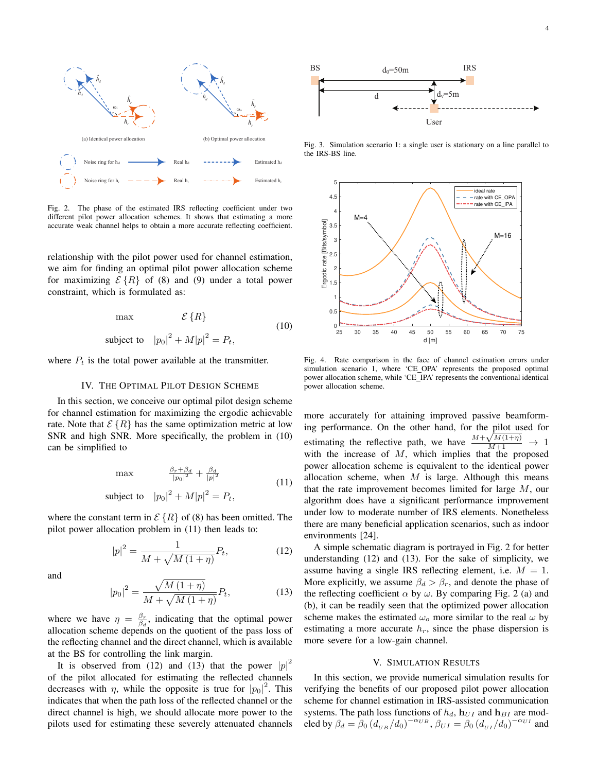

Fig. 2. The phase of the estimated IRS reflecting coefficient under two different pilot power allocation schemes. It shows that estimating a more accurate weak channel helps to obtain a more accurate reflecting coefficient.

relationship with the pilot power used for channel estimation, we aim for finding an optimal pilot power allocation scheme for maximizing  $\mathcal{E}\{R\}$  of (8) and (9) under a total power constraint, which is formulated as:

$$
\max \qquad \mathcal{E}\left\{R\right\} \tag{10}
$$
\n
$$
\text{subject to} \quad |p_0|^2 + M|p|^2 = P_t,
$$

where  $P_t$  is the total power available at the transmitter.

#### IV. THE OPTIMAL PILOT DESIGN SCHEME

In this section, we conceive our optimal pilot design scheme for channel estimation for maximizing the ergodic achievable rate. Note that  $\mathcal{E}\{R\}$  has the same optimization metric at low SNR and high SNR. More specifically, the problem in (10) can be simplified to

$$
\max \qquad \frac{\beta_r + \beta_d}{|p_0|^2} + \frac{\beta_d}{|p|^2}
$$
\n
$$
\text{subject to} \quad |p_0|^2 + M|p|^2 = P_t,\tag{11}
$$

where the constant term in  $\mathcal{E}\{R\}$  of (8) has been omitted. The pilot power allocation problem in (11) then leads to:

$$
|p|^2 = \frac{1}{M + \sqrt{M(1+\eta)}} P_t,
$$
 (12)

and

$$
|p_0|^2 = \frac{\sqrt{M(1+\eta)}}{M + \sqrt{M(1+\eta)}} P_t,
$$
\n(13)

where we have  $\eta = \frac{\beta_r}{\beta_d}$ , indicating that the optimal power allocation scheme depends on the quotient of the pass loss of the reflecting channel and the direct channel, which is available at the BS for controlling the link margin.

It is observed from (12) and (13) that the power  $|p|^2$ of the pilot allocated for estimating the reflected channels decreases with  $\eta$ , while the opposite is true for  $|p_0|^2$ . This indicates that when the path loss of the reflected channel or the direct channel is high, we should allocate more power to the pilots used for estimating these severely attenuated channels



Fig. 3. Simulation scenario 1: a single user is stationary on a line parallel to the IRS-BS line.



Fig. 4. Rate comparison in the face of channel estimation errors under simulation scenario 1, where 'CE\_OPA' represents the proposed optimal power allocation scheme, while 'CE IPA' represents the conventional identical power allocation scheme.

more accurately for attaining improved passive beamforming performance. On the other hand, for the pilot used for estimating the reflective path, we have  $\frac{M + \sqrt{M(1+\eta)}}{M+1} \rightarrow 1$ with the increase of  $M$ , which implies that the proposed power allocation scheme is equivalent to the identical power allocation scheme, when  $M$  is large. Although this means that the rate improvement becomes limited for large M, our algorithm does have a significant performance improvement under low to moderate number of IRS elements. Nonetheless there are many beneficial application scenarios, such as indoor environments [24].

A simple schematic diagram is portrayed in Fig. 2 for better understanding (12) and (13). For the sake of simplicity, we assume having a single IRS reflecting element, i.e.  $M = 1$ . More explicitly, we assume  $\beta_d > \beta_r$ , and denote the phase of the reflecting coefficient  $\alpha$  by  $\omega$ . By comparing Fig. 2 (a) and (b), it can be readily seen that the optimized power allocation scheme makes the estimated  $\omega_0$  more similar to the real  $\omega$  by estimating a more accurate  $h_r$ , since the phase dispersion is more severe for a low-gain channel.

### V. SIMULATION RESULTS

In this section, we provide numerical simulation results for verifying the benefits of our proposed pilot power allocation scheme for channel estimation in IRS-assisted communication systems. The path loss functions of  $h_d$ ,  $\mathbf{h}_{UI}$  and  $\mathbf{h}_{BI}$  are modeled by  $\beta_d = \beta_0 (d_{UB}/d_0)^{-\alpha_{UB}}$ ,  $\beta_{UI} = \beta_0 (d_{UI}/d_0)^{-\alpha_{UI}}$  and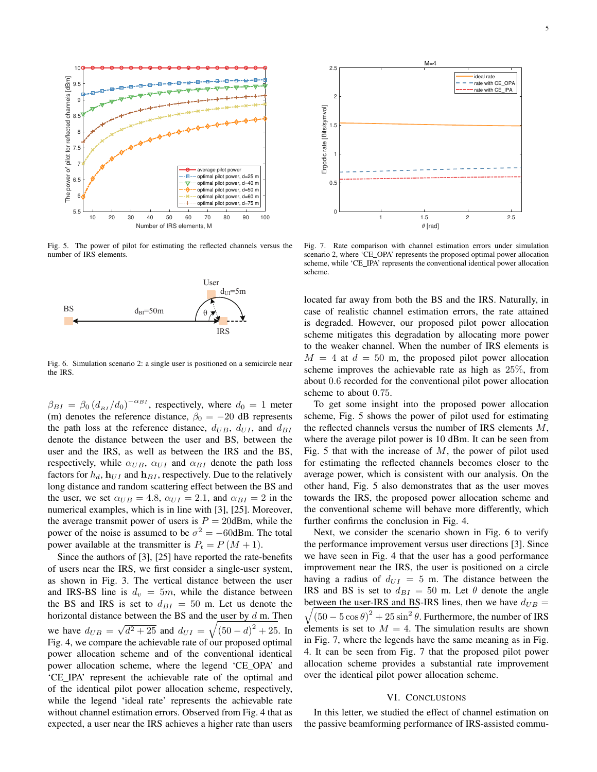

Fig. 5. The power of pilot for estimating the reflected channels versus the number of IRS elements.



Fig. 6. Simulation scenario 2: a single user is positioned on a semicircle near the IRS.

 $\beta_{BI} = \beta_0 (d_{BI}/d_0)^{-\alpha_{BI}}$ , respectively, where  $d_0 = 1$  meter (m) denotes the reference distance,  $\beta_0 = -20$  dB represents the path loss at the reference distance,  $d_{UB}$ ,  $d_{UI}$ , and  $d_{BI}$ denote the distance between the user and BS, between the user and the IRS, as well as between the IRS and the BS, respectively, while  $\alpha_{UB}$ ,  $\alpha_{UI}$  and  $\alpha_{BI}$  denote the path loss factors for  $h_d$ ,  $\mathbf{h}_{UI}$  and  $\mathbf{h}_{BI}$ , respectively. Due to the relatively long distance and random scattering effect between the BS and the user, we set  $\alpha_{UB} = 4.8$ ,  $\alpha_{UI} = 2.1$ , and  $\alpha_{BI} = 2$  in the numerical examples, which is in line with [3], [25]. Moreover, the average transmit power of users is  $P = 20$ dBm, while the power of the noise is assumed to be  $\sigma^2 = -60$ dBm. The total power available at the transmitter is  $P_t = P(M + 1)$ .

Since the authors of [3], [25] have reported the rate-benefits of users near the IRS, we first consider a single-user system, as shown in Fig. 3. The vertical distance between the user and IRS-BS line is  $d_v = 5m$ , while the distance between the BS and IRS is set to  $d_{BI} = 50$  m. Let us denote the horizontal distance between the BS and the user by  $d$  m. Then we have  $d_{UB} =$ √  $\overline{d^2 + 25}$  and  $d_{UI} = \sqrt{(50 - d)^2 + 25}$ . In Fig. 4, we compare the achievable rate of our proposed optimal power allocation scheme and of the conventional identical power allocation scheme, where the legend 'CE OPA' and 'CE IPA' represent the achievable rate of the optimal and of the identical pilot power allocation scheme, respectively, while the legend 'ideal rate' represents the achievable rate without channel estimation errors. Observed from Fig. 4 that as expected, a user near the IRS achieves a higher rate than users



Fig. 7. Rate comparison with channel estimation errors under simulation scenario 2, where 'CE OPA' represents the proposed optimal power allocation scheme, while 'CE IPA' represents the conventional identical power allocation scheme.

located far away from both the BS and the IRS. Naturally, in case of realistic channel estimation errors, the rate attained is degraded. However, our proposed pilot power allocation scheme mitigates this degradation by allocating more power to the weaker channel. When the number of IRS elements is  $M = 4$  at  $d = 50$  m, the proposed pilot power allocation scheme improves the achievable rate as high as 25%, from about 0.6 recorded for the conventional pilot power allocation scheme to about 0.75.

To get some insight into the proposed power allocation scheme, Fig. 5 shows the power of pilot used for estimating the reflected channels versus the number of IRS elements  $M$ , where the average pilot power is 10 dBm. It can be seen from Fig. 5 that with the increase of  $M$ , the power of pilot used for estimating the reflected channels becomes closer to the average power, which is consistent with our analysis. On the other hand, Fig. 5 also demonstrates that as the user moves towards the IRS, the proposed power allocation scheme and the conventional scheme will behave more differently, which further confirms the conclusion in Fig. 4.

Next, we consider the scenario shown in Fig. 6 to verify the performance improvement versus user directions [3]. Since we have seen in Fig. 4 that the user has a good performance improvement near the IRS, the user is positioned on a circle having a radius of  $d_{UI} = 5$  m. The distance between the IRS and BS is set to  $d_{BI} = 50$  m. Let  $\theta$  denote the angle between the user-IRS and BS-IRS lines, then we have  $d_{UB} =$  $\sqrt{(50 - 5 \cos \theta)^2 + 25 \sin^2 \theta}$ . Furthermore, the number of IRS elements is set to  $M = 4$ . The simulation results are shown in Fig. 7, where the legends have the same meaning as in Fig. 4. It can be seen from Fig. 7 that the proposed pilot power allocation scheme provides a substantial rate improvement over the identical pilot power allocation scheme.

## VI. CONCLUSIONS

In this letter, we studied the effect of channel estimation on the passive beamforming performance of IRS-assisted commu